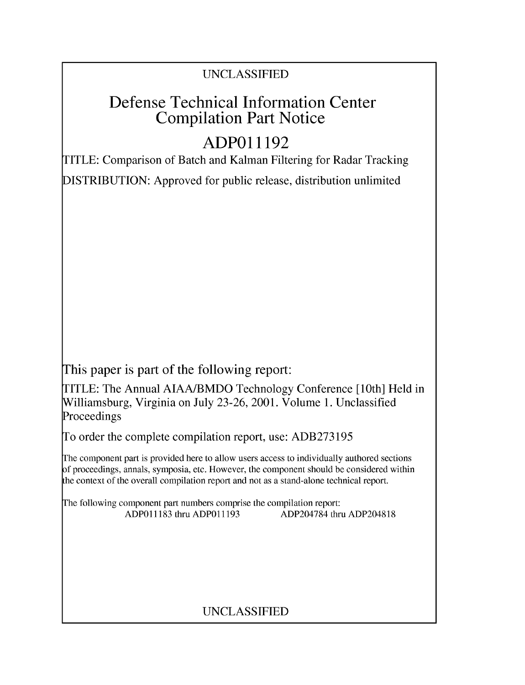# Defense Technical Information Center Compilation Part Notice

# **ADPO11192**

TITLE: Comparison of Batch and Kalman Filtering for Radar Tracking

DISTRIBUTION: Approved for public release, distribution unlimited

This paper is part of the following report:

TITLE: The Annual AIAA/BMDO Technology Conference [10th] Held in Williamsburg, Virginia on July 23-26, 2001. Volume 1. Unclassified Proceedings

To order the complete compilation report, use: ADB273195

The component part is provided here to allow users access to individually authored sections f proceedings, annals, symposia, etc. However, the component should be considered within [he context of the overall compilation report and not as a stand-alone technical report.

The following component part numbers comprise the compilation report: ADPO11183 thru ADPO11193 ADP204784 thru ADP204818

# UNCLASSIFIED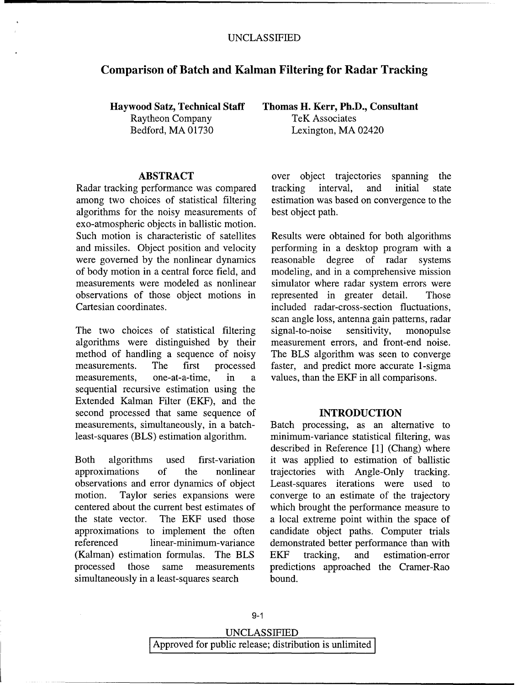### Comparison of Batch and Kalman Filtering for Radar Tracking

Raytheon Company TeK Associates

among two choices of statistical filtering estimation was based on convergence to the algorithms for the noisy measurements of best object path. exo-atmospheric objects in ballistic motion. Such motion is characteristic of satellites Results were obtained for both algorithms and missiles. Object position and velocity performing in a desktop program with a were governed by the nonlinear dynamics reasonable degree of radar systems of body motion in a central force field, and modeling, and in a comprehensive mission measurements were modeled as nonlinear simulator where radar system errors were observations of those object motions in represented in greater detail. Those Cartesian coordinates, included radar-cross-section fluctuations,

algorithms were distinguished by their measurement errors, and front-end noise. method of handling a sequence of noisy The BLS algorithm was seen to converge measurements. The first processed faster, and predict more accurate 1-sigma measurements, one-at-a-time, in a values, than the EKF in all comparisons. sequential recursive estimation using the Extended Kalman Filter (EKF), and the second processed that same sequence of **INTRODUCTION** measurements, simultaneously, in a batch- Batch processing, as an alternative to least-squares (BLS) estimation algorithm, minimum-variance statistical filtering, was

approximations of the nonlinear trajectories with Angle-Only tracking. observations and error dynamics of object Least-squares iterations were used to motion. Taylor series expansions were converge to an estimate of the trajectory centered about the current best estimates of which brought the performance measure to the state vector. The EKF used those a local extreme point within the space of approximations to implement the often candidate object paths. Computer trials referenced linear-minimum-variance demonstrated better performance than with (Kalman) estimation formulas. The BLS EKF tracking, and estimation-error processed those same measurements predictions approached the Cramer-Rao simultaneously in a least-squares search bound.

Haywood Satz, Technical Staff Thomas H. Kerr, Ph.D., Consultant Bedford, MA 01730 Lexington, MA 02420

ABSTRACT over object trajectories spanning the Radar tracking performance was compared tracking interval, and initial state

scan angle loss, antenna gain patterns, radar The two choices of statistical filtering signal-to-noise sensitivity, monopulse

described in Reference [1] (Chang) where Both algorithms used first-variation it was applied to estimation of ballistic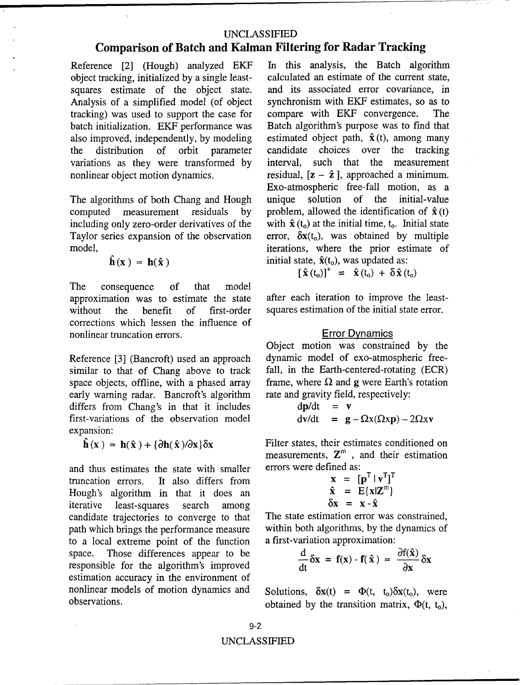# Comparison of Batch and Kalman Filtering for Radar Tracking

Reference [2] (Hough) analyzed EKF In this analysis, the Batch algorithm object tracking initialized by a single least- calculated an estimate of the current state. object tracking, initialized by a single leastsquares estimate of the object state. and its associated error covariance, in Analysis of a simplified model (of object synchronism with EKF estimates, so as to Analysis of a simplified model (of object synchronism with EKF estimates, stracking) was used to support the case for compare with EKF convergence. tracking) was used to support the case for compare with EKF convergence. The batch initialization. EKF performance was Batch algorithm's purpose was to find that batch initialization. EKF performance was Batch algorithm's purpose was to find that also improved, independently, by modeling estimated object path,  $\hat{\mathbf{x}}(t)$ , among many also improved, independently, by modeling the distribution of orbit parameter candidate choices over the tracking variations as they were transformed by interval, such that the measurement nonlinear object motion dynamics. residual,  $[z - \hat{z}]$ , approached a minimum.

The algorithms of both Chang and Hough computed measurement residuals by including only zero-order derivatives of the with  $\hat{\mathbf{x}}$  ( $t_0$ ) at the initial time,  $t_0$ . Initial state Taylor series expansion of the observation error,  $\delta \mathbf{x}(t_0)$ , was obtained by multiple Taylor series expansion of the observation

$$
\mathbf{h}(\mathbf{x}) \approx \mathbf{h}(\hat{\mathbf{x}})
$$

The consequence of that model approximation was to estimate the state after each iteration to improve the leastwithout the benefit of first-order squares estimation of the initial state error. corrections which lessen the influence of nonlinear truncation errors. Error Dynamics

similar to that of Chang above to track fall, in the Earth-centered-rotating (ECR) space objects, offline, with a phased array frame, where  $\Omega$  and  $g$  were Earth's rotation early warning radar. Bancroft's algorithm rate and gravity field, respectively: early warning radar. Bancroft's algorithm differs from Chang's in that it includes first-variations of the observation model expansion:

and thus estimates the state with smaller truncation errors. It also differs from Hough's algorithm in that it does an iterative least-squares search among candidate trajectories to converge to that The state estimation error was constrained, path which brings the performance measure within both algorithms, by the dynamics of to a local extreme point of the function a first-variation approximation: to a local extreme point of the function space. Those differences appear to be responsible for the algorithm's improved estimation accuracy in the environment of nonlinear models of motion dynamics and Solutions,  $\delta x(t) = \Phi(t, t_0)\delta x(t_0)$ , were

Exo-atmospheric free-fall motion, as a unique solution of the initial-value by problem, allowed the identification of  $\hat{\mathbf{x}}$  (t) the with  $\hat{\mathbf{x}}$  (t<sub>0</sub>) at the initial time, t<sub>0</sub>. Initial state model, iterations, where the prior estimate of initial state,  $\hat{\mathbf{x}}(t_0)$ , was updated as:

$$
[\hat{\mathbf{x}}(t_0)]^+ = \hat{\mathbf{x}}(t_0) + \delta \hat{\mathbf{x}}(t_0)
$$

Object motion was constrained by the Reference [3] (Bancroft) used an approach dynamic model of exo-atmospheric free-

$$
\begin{array}{rcl}\n\mathrm{d} \mathbf{p}/\mathrm{d} t & = & \mathbf{v} \\
\mathrm{d} \mathbf{v}/\mathrm{d} t & = & \mathbf{g} - \Omega \mathbf{x} (\Omega \mathbf{x} \mathbf{p}) - 2\Omega \mathbf{x} \mathbf{v}\n\end{array}
$$

 $\hat{\mathbf{h}}(\mathbf{x}) \approx \mathbf{h}(\hat{\mathbf{x}}) + {\partial \mathbf{h}(\hat{\mathbf{x}})} \delta \mathbf{x}$  Filter states, their estimates conditioned on measurements,  $\mathbf{Z}^m$ , and their estimation<br>errors were defined as:

$$
\begin{array}{rcl}\n\mathbf{x} & = & [\mathbf{p}^T \mid \mathbf{v}^T]^T \\
\hat{\mathbf{x}} & = & E\{\mathbf{x} | \mathbf{Z}^m\} \\
\delta \mathbf{x} & = & \mathbf{x} - \hat{\mathbf{x}}\n\end{array}
$$

$$
\frac{d}{dt}\delta x = f(x) - f(\hat{x}) \approx \frac{\partial f(\hat{x})}{\partial x} \delta x
$$

observations. obtained by the transition matrix,  $\Phi(t, t_0)$ ,

9-2 UNCLASSIFIED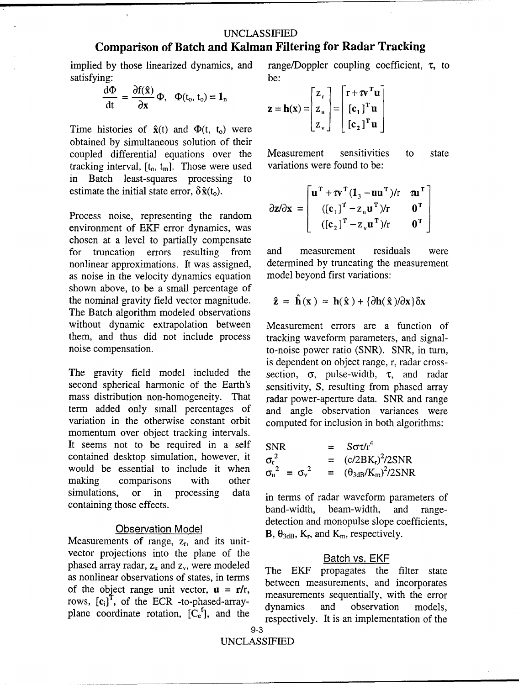$satisfying:$  **be:**  $\frac{d\Phi}{d\Phi} = \frac{\partial f(\hat{x})}{d\Phi}$  **be:**  $\frac{d\Phi}{d\Phi} = \frac{d\Phi}{d\Phi}$ 

$$
\frac{d\Phi}{dt} = \frac{\partial f(\hat{\mathbf{x}})}{\partial \mathbf{x}} \Phi, \quad \Phi(t_0, t_0) = \mathbf{1}_n
$$
\n
$$
\mathbf{z} = \mathbf{h}(\mathbf{x}) = \begin{bmatrix} z_r \\ z_u \end{bmatrix} = \begin{bmatrix} r + \tau v^1 \\ [c_1]^T \end{bmatrix}
$$

Time histories of  $\hat{\mathbf{x}}(t)$  and  $\Phi(t, t_0)$  were obtained by simultaneous solution of their coupled differential equations over the Measurement sensitivities to state tracking interval,  $[t_0, t_m]$ . Those were used variations were found to be: in Batch least-squares processing to estimate the initial state error,  $\delta \hat{\mathbf{x}}(t_0)$ .

Process noise, representing the random environment of EKF error dynamics, was chosen at a level to partially compensate for truncation errors resulting from and measurement residuals were nonlinear approximations. It was assigned, determined by truncating the measurement as noise in the velocity dynamics equation model beyond first variations: shown above, to be a small percentage of the nominal gravity field vector magnitude.  $\hat{\mathbf{z}}$ The Batch algorithm modeled observations without dynamic extrapolation between Measurement errors are a function of them, and thus did not include process tracking waveform parameters, and signalnoise compensation. to-noise power ratio (SNR). SNR, in turn,

The gravity field model included the second spherical harmonic of the Earth's sensitivity, S, resulting from phased array mass distribution non-homogeneity. That radar power-aperture data. SNR and range term added only small percentages of and angle observation variances were variation in the otherwise constant orbit computed for inclusion in both algorithms: momentum over object tracking intervals. It seems not to be required in a self contained desktop simulation, however, it would be essential to include it when making comparisons with other simulations, or in processing data in terms of radar waveform parameters of

Measurements of range, z<sub>r</sub>, and its unitvector projections into the plane of the Batch vs. EKF phased array radar,  $z_u$  and  $z_v$ , were modeled The EKF propagates the filter state as nonlinear observations of states, in terms between measurements, and incorporates of the object range unit vector,  $\mathbf{u} = \mathbf{r}/r$ ,  $\begin{array}{c} \text{between measurements, and morphances} \\ \text{measurements, and morphances} \end{array}$ rows,  $[c_i]^T$ , of the ECR -to-phased-array-<br>dynamics and observation models,

implied by those linearized dynamics, and range/Doppler coupling coefficient,  $\tau$ , to

$$
\mathbf{z} = \mathbf{h}(\mathbf{x}) = \begin{bmatrix} z_{\mathrm{r}} \\ z_{\mathrm{u}} \\ z_{\mathrm{v}} \end{bmatrix} = \begin{bmatrix} \mathbf{r} + \boldsymbol{\tau} \mathbf{v}^{\mathrm{T}} \mathbf{u} \\ [\mathbf{c}_{1}]^{\mathrm{T}} \mathbf{u} \\ [\mathbf{c}_{2}]^{\mathrm{T}} \mathbf{u} \end{bmatrix}
$$

$$
\partial z/\partial x = \begin{bmatrix} \mathbf{u}^{\mathrm{T}} + \tau \mathbf{v}^{\mathrm{T}} (\mathbf{1}_3 - \mathbf{u} \mathbf{u}^{\mathrm{T}}) / r & \mathbf{u}^{\mathrm{T}} \\ ( [\mathbf{c}_1]^{\mathrm{T}} - z_{\mathrm{u}} \mathbf{u}^{\mathrm{T}}) / r & \mathbf{0}^{\mathrm{T}} \\ ( [\mathbf{c}_2]^{\mathrm{T}} - z_{\mathrm{v}} \mathbf{u}^{\mathrm{T}}) / r & \mathbf{0}^{\mathrm{T}} \end{bmatrix}
$$

$$
\hat{\mathbf{z}} = \hat{\mathbf{h}}(\mathbf{x}) \approx \mathbf{h}(\hat{\mathbf{x}}) + {\partial \mathbf{h}(\hat{\mathbf{x}})/\partial \mathbf{x}}{\delta \mathbf{x}}
$$

is dependent on object range, r, radar cross-<br>section,  $\sigma$ , pulse-width,  $\tau$ , and radar

$$
SNR = S\sigma\tau/r^4
$$
  
\n
$$
\sigma_r^2 = (c/2BK_r)^2/2SNR
$$
  
\n
$$
\sigma_u^2 = \sigma_v^2 = (\theta_{3dB}/K_m)^2/2SNR
$$

containing those effects.<br>band-width, beam-width, and range-**Observation Model** detection and monopulse slope coefficients,<br>  $B, \theta_{3dB}, K_r$ , and  $K_m$ , respectively.

plane coordinate rotation,  $[C_e^f]$ , and the respectively. It is an implementation of the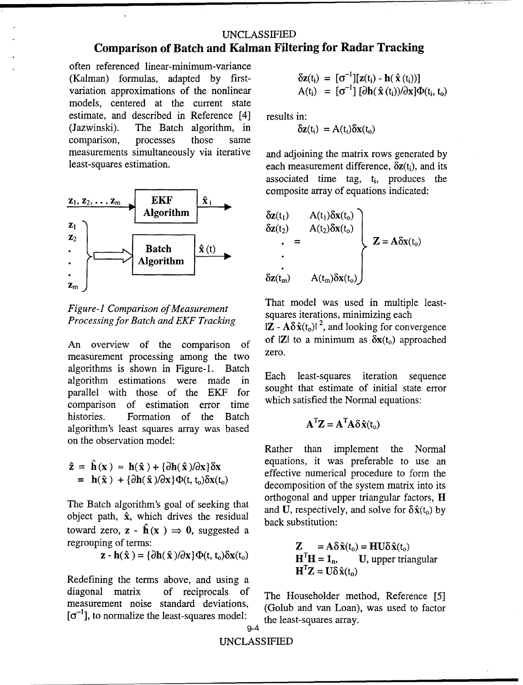often referenced linear-minimum-variance (Kalman) formulas, adapted by firstvariation approximations of the nonlinear models, centered at the current state estimate, and described in Reference [4] results in: (Jazwinski). The Batch algorithm, in comparison, processes those same measurements simultaneously via iterative and adjoining the matrix rows generated by



*Processing for Batch and EKF Tracking*  $|Z - A\delta \hat{x}(t_0)|^2$ , and looking for convergence

measurement processing among the two. algorithms is shown in Figure-1. Batch algorithm estimations were made in Each least-squares iteration sequence<br>norallel with those of the  $EVE$  for sought that estimate of initial state error parallel with those of the EKF for sought that estimate of initial state<br>comparison of estimation error time which satisfied the Normal equations: comparison of estimation error time histories. Formation of the Batch algorithm's least squares array was based on the observation model:

The Batch algorithm's goal of seeking that<br>object path,  $\hat{x}$ , which drives the residual and U, respectively, and solve for  $\delta \hat{x}(t_0)$  by<br>back substitution: toward zero,  $z - \hat{h}(x) \Rightarrow 0$ , suggested a regrouping of terms:

$$
\mathbf{z} - \mathbf{h}(\hat{\mathbf{x}}) = {\partial \mathbf{h}(\hat{\mathbf{x}})}/{\partial \mathbf{x}} {\Phi(\mathbf{t}, \mathbf{t}_0) \delta \mathbf{x}(\mathbf{t}_0)}
$$

Redefining the terms above, and using a diagonal matrix of reciprocals of The Householder method, Reference [5] measurement noise standard deviations, (Golub and van Loan), was used to factor  $[\sigma^{-1}]$ , to normalize the least-squares model: the least-squares array.

$$
\delta \mathbf{z}(t_i) = [\sigma^{-1}][\mathbf{z}(t_i) - \mathbf{h}(\hat{\mathbf{x}}(t_i))]
$$
  
 
$$
A(t_i) = [\sigma^{-1}][\partial \mathbf{h}(\hat{\mathbf{x}}(t_i))/\partial \mathbf{x}]\Phi(t_i, t_o)
$$

$$
\delta z(t_i) = A(t_i) \delta x(t_0)
$$

least-squares estimation. each measurement difference,  $\delta z(t_i)$ , and its associated time tag,  $t_i$ , produces the composite array of equations indicated:

$$
\delta z(t_1) \qquad A(t_1) \delta x(t_0) \n\delta z(t_2) \qquad A(t_2) \delta x(t_0) \n\vdots \n\delta z(t_m) \qquad A(t_m) \delta x(t_0)
$$
\n
$$
Z = A \delta x(t_0)
$$

*Figure-1 Comparison of Measurement* **That model was used in multiple least-**<br>squares iterations, minimizing each

An overview of the comparison of  $\sigma$  IZI to a minimum as  $\delta x(t_0)$  approached zero.

$$
\mathbf{A}^{\mathrm{T}}\mathbf{Z} = \mathbf{A}^{\mathrm{T}}\mathbf{A}\delta\hat{\mathbf{x}}(t_{o})
$$

Rather than implement the Normal  $\hat{z} = \hat{h}(x) \approx h(\hat{x}) + {\partial h(\hat{x})}/{\partial x} \delta x$  equations, it was preferable to use an effective numerical procedure to form the decomposition of the system matrix into its The Batch algorithm's goal of seeking that orthogonal and upper triangular factors, **H**<br>and **I**I respectively and solve for  $\delta \hat{v}(t)$  by

$$
Z = Aδ x(to) = HUδ x(to)
$$
\n
$$
z - h(x) = {∂h(x)/∂x} ∅h(t, to)δx(to)\n\n
$$
HTH = 1n, U, upper triangular\n\n
$$
HTZ = Uδ x(to)
$$
$$
$$

**9-4**

### UNCLASSIFIED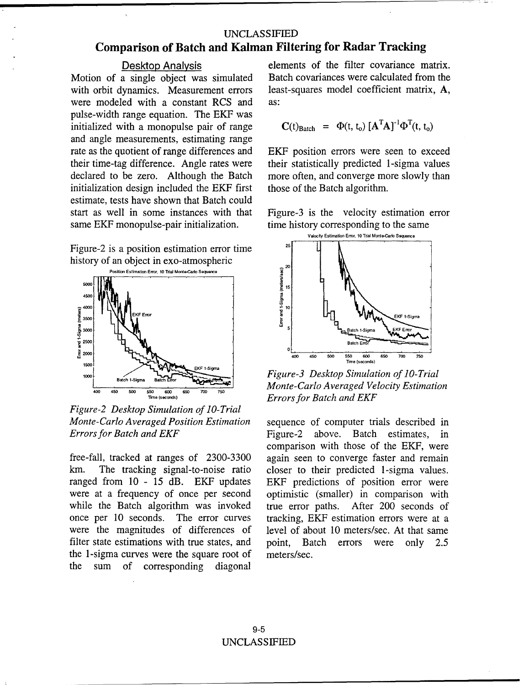Motion of a single object was simulated with orbit dynamics. Measurement errors least-squares model coefficient matrix, A, were modeled with a constant RCS and as: pulse-width range equation. The EKF was initialized with a monopulse pair of range and angle measurements, estimating range rate as the quotient of range differences and EKF position errors were seen to exceed their time-tag difference. Angle rates were their statistically predicted 1-sigma values declared to be zero. Although the Batch more often, and converge more slowly than initialization design included the EKF first those of the Batch algorithm. initialization design included the EKF first estimate, tests have shown that Batch could same EKF monopulse-pair initialization. time history corresponding to the same

Figure-2 is a position estimation error time history of an object in exo-atmospheric



*Figure-2 Desktop Simulation of 10-Trial Monte-Carlo Averaged Position Estimation* sequence of computer trials described in

km. The tracking signal-to-noise ratio closer to their predicted 1-sigma values. ranged from 10 - 15 dB. EKF updates EKF predictions of position error were were at a frequency of once per second optimistic (smaller) in comparison with while the Batch algorithm was invoked true error paths. After 200 seconds of were the magnitudes of differences of level of about 10 meters/sec. At that same filter state estimations with true states, and point, Batch errors were only 2.5 the 1-sigma curves were the square root of meters/sec. the sum of corresponding diagonal

Desktop Analysis<br>a single object was simulated Batch covariances were calculated from the

$$
\mathbf{C}(t)_{\text{Batch}} = \Phi(t, t_o) [\mathbf{A}^{\text{T}} \mathbf{A}]^{-1} \Phi^{\text{T}}(t, t_o)
$$





**50W 68W 75W** *Monte-Carlo Averaged Velocity Estimation* **Time (seconds)** *Errors for Batch and EKF*

*Errors for Batch and EKF* Figure-2 above. Batch estimates, in comparison with those of the EKF, were free-fall, tracked at ranges of 2300-3300 again seen to converge faster and remain once per 10 seconds. The error curves tracking, EKF estimation errors were at a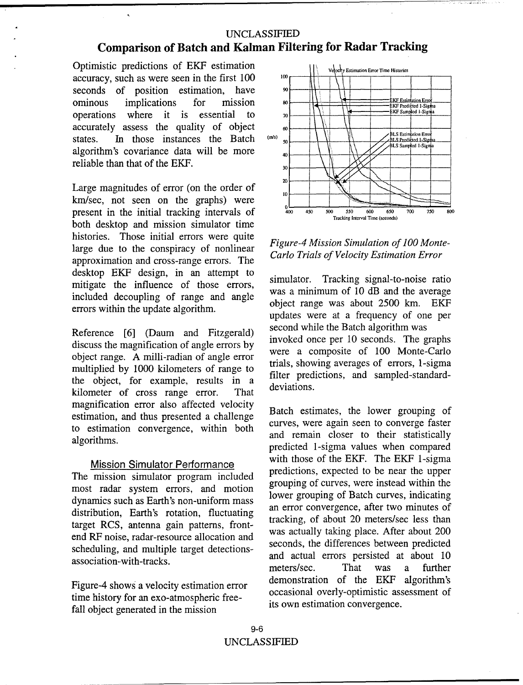Optimistic predictions of  $EKF$  estimation  $\|\cdot\|$   $\vee_{\text{clocky~Estimation Error Time Histories}}$ accuracy, such as were seen in the first 100  $\mu$ <sup>100</sup> seconds of position estimation, have **9** - **t0** ominous implications for mission **80** operations where it is essential to  $\frac{1}{2}$  $\text{accuracy}$  assess the quality of object  $\begin{array}{c} 60 \\ \text{states.} \end{array}$  In those instances the Batch  $\begin{array}{c} 60 \\ \text{min} \end{array}$ algorithm's covariance data will be more *40\_* reliable than that of the EKF.  $_{30}$ 

Large magnitudes of error (on the order of  $\frac{1}{10}$ km/sec, not seen on the graphs) were  $\bigcup_{40}^{80}$ <br>present in the initial tracking intervals of present in the initial tracking intervals of  $\frac{400}{400} \frac{450}{450} \frac{500}{500} \frac{550}{500} \frac{600}{500} \frac{650}{700} \frac{700}{750}$ both desktop and mission simulator time histories. Those initial errors were quite large due to the conspiracy of nonlinear<br>
Figure-4 Mission Simulation of 100 Monte-<br> **Figure-4 Mission Simulation of 100 Monte-**<br> **Carlo Trials of Velocity Estimation Error** approximation and cross-range errors. The desktop EKF design, in an attempt to simulator. Tracking signal-to-noise ratio mitigate the influence of those errors, simulator. Tracking signal-to-holder ratio included decoupling of range and angle object range was about **2500** km. EKF

discuss the magnification of angle errors by invoked once per 10 seconds. The graphs object range. A milli-radian of angle error were a composite of 100 Monte-Carlo multiplied by 1000 kilometers of range to trials, showing averages of errors, 1-sigma<br>filter predictions, and sampled-standardthe object, for example, results in a  $\frac{1}{\text{m}}$  deviations. kilometer of cross range error. That magnification error also affected velocity<br>extinction and thus generated a shallowed Batch estimates, the lower grouping of estimation, and thus presented a challenge backle curves, were again seen to converge faster to estimation convergence, within both and remain closer to their statistically

tracking, of about 20 meters/sec less than<br>target RCS, antenna gain patterns, front-<br>end RF noise, radar-resource allocation and<br>seconds, the differences between predicted scheduling, and multiple target detections-<br>association-with-tracks.

time history for an exo-atmospheric free-<br>fell abient sexual in the mission of the stimulation convergence. fall object generated in the mission



errors within the update algorithm.<br>updates were at a frequency of one per Reference [6] (Daum and Fitzgerald) second while the Batch algorithm was<br>diamong the magnification of angle suppose invoked once per 10 seconds. The graphs

algorithms.<br>predicted 1-sigma values when compared Mission Simulator Performance<br>
with those of the EKF. The EKF 1-sigma<br>
predictions, expected to be near the upper The mission simulator program included<br>
most radar system errors, and motion<br>
dynamics such as Earth's non-uniform mass<br>
distribution, Earth's rotation, fluctuating<br>
target BCS antanna gain nottome from the strucking, of a and actual errors persisted at about 10<br>meters/sec. That was a further Figure-4 shows a velocity estimation error demonstration of the EKF algorithm's<br>constant of demonstration overly-optimistic assessment of